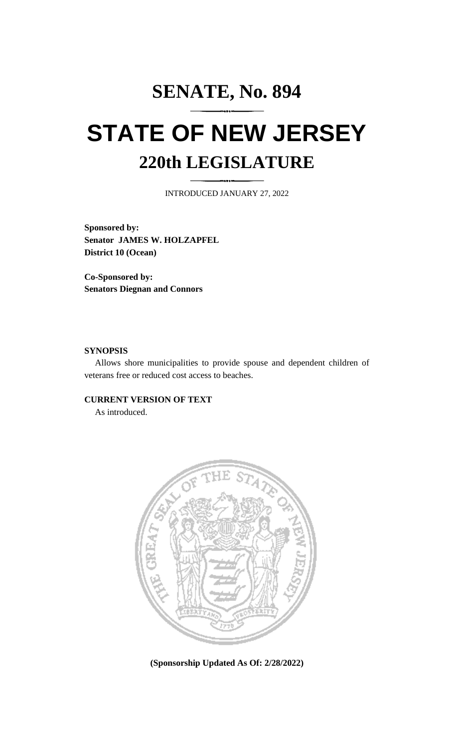## **SENATE, No. 894 STATE OF NEW JERSEY 220th LEGISLATURE**

INTRODUCED JANUARY 27, 2022

**Sponsored by: Senator JAMES W. HOLZAPFEL District 10 (Ocean)**

**Co-Sponsored by: Senators Diegnan and Connors**

## **SYNOPSIS**

Allows shore municipalities to provide spouse and dependent children of veterans free or reduced cost access to beaches.

## **CURRENT VERSION OF TEXT**

As introduced.



**(Sponsorship Updated As Of: 2/28/2022)**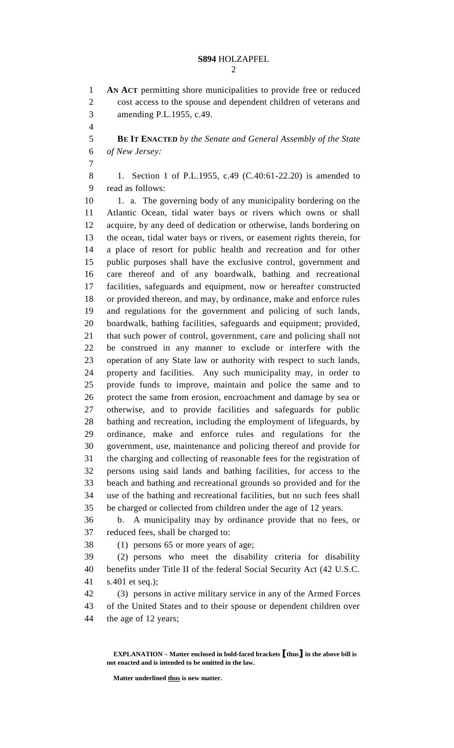**AN ACT** permitting shore municipalities to provide free or reduced cost access to the spouse and dependent children of veterans and amending P.L.1955, c.49.

 **BE IT ENACTED** *by the Senate and General Assembly of the State of New Jersey:*

 1. Section 1 of P.L.1955, c.49 (C.40:61-22.20) is amended to read as follows:

10 1. a. The governing body of any municipality bordering on the Atlantic Ocean, tidal water bays or rivers which owns or shall acquire, by any deed of dedication or otherwise, lands bordering on the ocean, tidal water bays or rivers, or easement rights therein, for a place of resort for public health and recreation and for other public purposes shall have the exclusive control, government and care thereof and of any boardwalk, bathing and recreational facilities, safeguards and equipment, now or hereafter constructed or provided thereon, and may, by ordinance, make and enforce rules and regulations for the government and policing of such lands, boardwalk, bathing facilities, safeguards and equipment; provided, that such power of control, government, care and policing shall not be construed in any manner to exclude or interfere with the operation of any State law or authority with respect to such lands, property and facilities. Any such municipality may, in order to provide funds to improve, maintain and police the same and to protect the same from erosion, encroachment and damage by sea or otherwise, and to provide facilities and safeguards for public bathing and recreation, including the employment of lifeguards, by ordinance, make and enforce rules and regulations for the government, use, maintenance and policing thereof and provide for the charging and collecting of reasonable fees for the registration of persons using said lands and bathing facilities, for access to the beach and bathing and recreational grounds so provided and for the use of the bathing and recreational facilities, but no such fees shall be charged or collected from children under the age of 12 years.

 b. A municipality may by ordinance provide that no fees, or reduced fees, shall be charged to:

(1) persons 65 or more years of age;

 (2) persons who meet the disability criteria for disability benefits under Title II of the federal Social Security Act (42 U.S.C. s.401 et seq.);

 (3) persons in active military service in any of the Armed Forces of the United States and to their spouse or dependent children over the age of 12 years;

**EXPLANATION – Matter enclosed in bold-faced brackets [thus] in the above bill is not enacted and is intended to be omitted in the law.**

**Matter underlined thus is new matter.**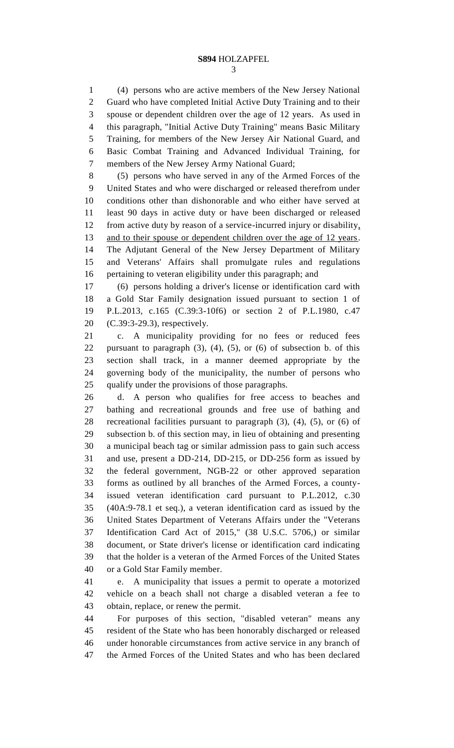(4) persons who are active members of the New Jersey National Guard who have completed Initial Active Duty Training and to their spouse or dependent children over the age of 12 years. As used in this paragraph, "Initial Active Duty Training" means Basic Military Training, for members of the New Jersey Air National Guard, and Basic Combat Training and Advanced Individual Training, for members of the New Jersey Army National Guard;

 (5) persons who have served in any of the Armed Forces of the United States and who were discharged or released therefrom under conditions other than dishonorable and who either have served at least 90 days in active duty or have been discharged or released from active duty by reason of a service-incurred injury or disability, 13 and to their spouse or dependent children over the age of 12 years. The Adjutant General of the New Jersey Department of Military and Veterans' Affairs shall promulgate rules and regulations pertaining to veteran eligibility under this paragraph; and

 (6) persons holding a driver's license or identification card with a Gold Star Family designation issued pursuant to section 1 of P.L.2013, c.165 (C.39:3-10f6) or section 2 of P.L.1980, c.47 (C.39:3-29.3), respectively.

 c. A municipality providing for no fees or reduced fees pursuant to paragraph (3), (4), (5), or (6) of subsection b. of this section shall track, in a manner deemed appropriate by the governing body of the municipality, the number of persons who qualify under the provisions of those paragraphs.

 d. A person who qualifies for free access to beaches and bathing and recreational grounds and free use of bathing and recreational facilities pursuant to paragraph (3), (4), (5), or (6) of subsection b. of this section may, in lieu of obtaining and presenting a municipal beach tag or similar admission pass to gain such access and use, present a DD-214, DD-215, or DD-256 form as issued by the federal government, NGB-22 or other approved separation forms as outlined by all branches of the Armed Forces, a county- issued veteran identification card pursuant to P.L.2012, c.30 (40A:9-78.1 et seq.), a veteran identification card as issued by the United States Department of Veterans Affairs under the "Veterans Identification Card Act of 2015," (38 U.S.C. 5706,) or similar document, or State driver's license or identification card indicating that the holder is a veteran of the Armed Forces of the United States or a Gold Star Family member.

 e. A municipality that issues a permit to operate a motorized vehicle on a beach shall not charge a disabled veteran a fee to obtain, replace, or renew the permit.

 For purposes of this section, "disabled veteran" means any resident of the State who has been honorably discharged or released under honorable circumstances from active service in any branch of the Armed Forces of the United States and who has been declared